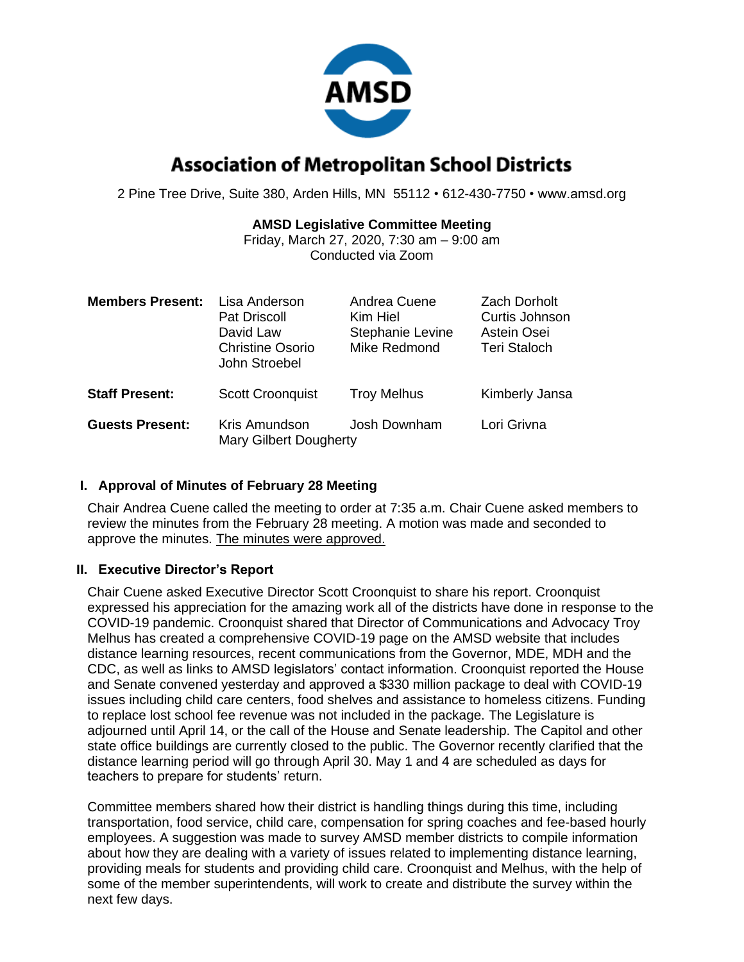

# **Association of Metropolitan School Districts**

2 Pine Tree Drive, Suite 380, Arden Hills, MN 55112 • 612-430-7750 • www.amsd.org

# **AMSD Legislative Committee Meeting**

Friday, March 27, 2020, 7:30 am – 9:00 am Conducted via Zoom

| <b>Members Present:</b> | Lisa Anderson<br><b>Pat Driscoll</b><br>David Law<br><b>Christine Osorio</b><br>John Stroebel | Andrea Cuene<br>Kim Hiel<br>Stephanie Levine<br>Mike Redmond | <b>Zach Dorholt</b><br>Curtis Johnson<br>Astein Osei<br><b>Teri Staloch</b> |
|-------------------------|-----------------------------------------------------------------------------------------------|--------------------------------------------------------------|-----------------------------------------------------------------------------|
| <b>Staff Present:</b>   | <b>Scott Croonquist</b>                                                                       | <b>Troy Melhus</b>                                           | Kimberly Jansa                                                              |
| <b>Guests Present:</b>  | Kris Amundson<br><b>Mary Gilbert Dougherty</b>                                                | Josh Downham                                                 | Lori Grivna                                                                 |

## **I. Approval of Minutes of February 28 Meeting**

Chair Andrea Cuene called the meeting to order at 7:35 a.m. Chair Cuene asked members to review the minutes from the February 28 meeting. A motion was made and seconded to approve the minutes. The minutes were approved.

# **II. Executive Director's Report**

Chair Cuene asked Executive Director Scott Croonquist to share his report. Croonquist expressed his appreciation for the amazing work all of the districts have done in response to the COVID-19 pandemic. Croonquist shared that Director of Communications and Advocacy Troy Melhus has created a comprehensive COVID-19 page on the AMSD website that includes distance learning resources, recent communications from the Governor, MDE, MDH and the CDC, as well as links to AMSD legislators' contact information. Croonquist reported the House and Senate convened yesterday and approved a \$330 million package to deal with COVID-19 issues including child care centers, food shelves and assistance to homeless citizens. Funding to replace lost school fee revenue was not included in the package. The Legislature is adjourned until April 14, or the call of the House and Senate leadership. The Capitol and other state office buildings are currently closed to the public. The Governor recently clarified that the distance learning period will go through April 30. May 1 and 4 are scheduled as days for teachers to prepare for students' return.

Committee members shared how their district is handling things during this time, including transportation, food service, child care, compensation for spring coaches and fee-based hourly employees. A suggestion was made to survey AMSD member districts to compile information about how they are dealing with a variety of issues related to implementing distance learning, providing meals for students and providing child care. Croonquist and Melhus, with the help of some of the member superintendents, will work to create and distribute the survey within the next few days.